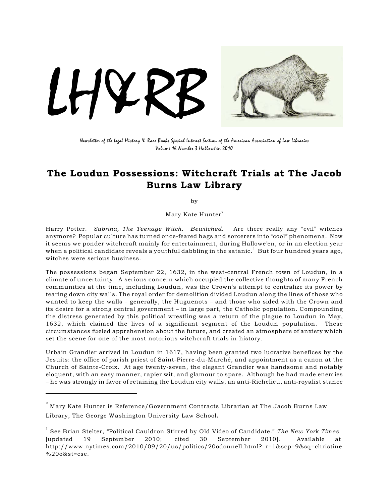

Newsletter of the Legal History & Rare Books Special Interest Section of the American Association of Law Libraries Volume 16 Number 3 Hallowe'en 2010

### The Loudun Possessions: Witchcraft Trials at The Jacob Burns Law Library

by

Mary Kate Hunter\*

Harry Potter. *Sabrina, The Teenage Witch*. *Bewitched*. Are there really any "evil" witches anymore? Popular culture has turned once-feared hags and sorcerers into "cool" phenomena. Now it seems we ponder witchcraft mainly for entertainment, during Hallowe'en, or in an election year when a political candidate reveals a youthful dabbling in the satanic.<sup>1</sup> But four hundred years ago, witches were serious business.

The possessions began September 22, 1632, in the west-central French town of Loudun, in a climate of uncertainty. A serious concern which occupied the collective thoughts of many French communities at the time, including Loudun, was the Crown's attempt to centralize its power by tearing down city walls. The royal order for demolition divided Loudun along the lines of those who wanted to keep the walls – generally, the Huguenots – and those who sided with the Crown and its desire for a strong central government – in large part, the Catholic population. Compounding the distress generated by this political wrestling was a return of the plague to Loudun in May, 1632, which claimed the lives of a significant segment of the Loudun population. These circumstances fueled apprehension about the future, and created an atmosphere of anxiety which set the scene for one of the most notorious witchcraft trials in history.

Urbain Grandier arrived in Loudun in 1617, having been granted two lucrative benefices by the Jesuits: the office of parish priest of Saint-Pierre-du-Marché, and appointment as a canon at the Church of Sainte-Croix. At age twenty-seven, the elegant Grandier was handsome and notably eloquent, with an easy manner, rapier wit, and glamour to spare. Although he had made enemies – he was strongly in favor of retaining the Loudun city walls, an anti-Richelieu, anti-royalist stance

 $^\ast$  Mary Kate Hunter is Reference/Government Contracts Librarian at The Jacob Burns Law Library, The George Washington University Law School.

See Brian Stelter, "Political Cauldron Stirred by Old Video of Candidate." *The New York Times* <sup>1</sup> [updated 19 September 2010; cited 30 September 2010]. Available at http://www.nytimes.com/2010/09/20/us/politics/20odonnell.html?\_r=1&scp=9&sq=christine  $%20o$ &st=cse.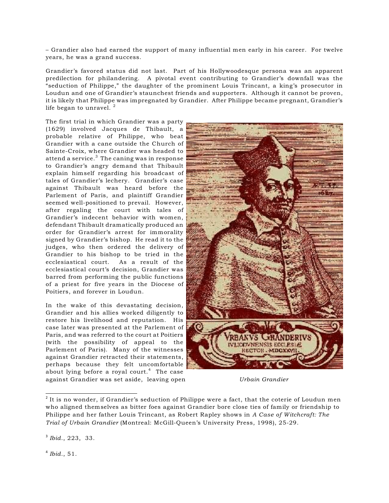– Grandier also had earned the support of many influential men early in his career. For twelve years, he was a grand success.

Grandier's favored status did not last. Part of his Hollywoodesque persona was an apparent predilection for philandering. A pivotal event contributing to Grandier's downfall was the "seduction of Philippe," the daughter of the prominent Louis Trincant, a king's prosecutor in Loudun and one of Grandier's staunchest friends and supporters. Although it cannot be proven, it is likely that Philippe was impregnated by Grandier. After Philippe became pregnant, Grandier's life began to unravel.  $^{\rm 2}$ 

The first trial in which Grandier was a party (1629) involved Jacques de Thibault, a probable relative of Philippe, who beat Grandier with a cane outside the Church of Sainte-Croix, where Grandier was headed to attend a service. $3$  The caning was in response to Grandier's angry demand that Thibault explain himself regarding his broadcast of tales of Grandier's lechery. Grandier's case against Thibault was heard before the Parlement of Paris, and plaintiff Grandier seemed well-positioned to prevail. However, after regaling the court with tales of Grandier's indecent behavior with women, defendant Thibault dramatically produced an order for Grandier's arrest for immorality signed by Grandier's bishop. He read it to the judges, who then ordered the delivery of Grandier to his bishop to be tried in the ecclesiastical court. As a result of the ecclesiastical court's decision, Grandier was barred from performing the public functions of a priest for five years in the Diocese of Poitiers, and forever in Loudun.

In the wake of this devastating decision, Grandier and his allies worked diligently to restore his livelihood and reputation. His case later was presented at the Parlement of Paris, and was referred to the court at Poitiers (with the possibility of appeal to the Parlement of Paris). Many of the witnesses against Grandier retracted their statements, perhaps because they felt uncomfortable about lying before a royal court.<sup>4</sup> The case against Grandier was set aside, leaving open *Urbain Grandier*



<sup>3</sup> *Ibid.*, 223, 33.

 $^{4}$  *Ibid.*, 51.

 $2$  It is no wonder, if Grandier's seduction of Philippe were a fact, that the coterie of Loudun men who aligned themselves as bitter foes against Grandier bore close ties of family or friendship to Philippe and her father Louis Trincant, as Robert Rapley shows in *A Case of Witchcraft: The Trial of Urbain Grandier* (Montreal: McGill-Queen's University Press, 1998), 25-29.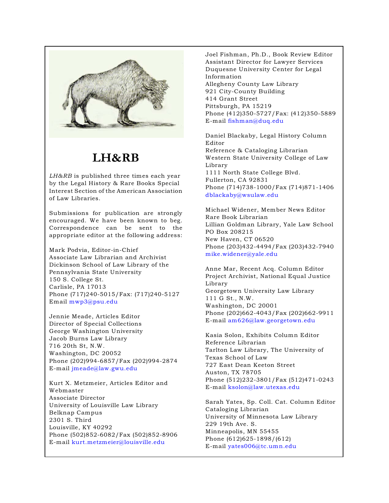

# **LH&RB**

*LH&RB* is published three times each year by the Legal History & Rare Books Special Interest Section of the American Association of Law Libraries.

Submissions for publication are strongly encouraged. We have been known to beg. Correspondence can be sent to the appropriate editor at the following address:

Mark Podvia, Editor-in-Chief Associate Law Librarian and Archivist Dickinson School of Law Library of the Pennsylvania State University 150 S. College St. Carlisle, PA 17013 Phone (717)240-5015/Fax: (717)240-5127 Email mwp3@psu.edu

Jennie Meade, Articles Editor Director of Special Collections George Washington University Jacob Burns Law Library 716 20th St, N.W. Washington, DC 20052 Phone (202)994-6857/Fax (202)994-2874 E-mail jmeade@law.gwu.edu

Kurt X. Metzmeier, Articles Editor and Webmaster Associate Director University of Louisville Law Library Belknap Campus 2301 S. Third Louisville, KY 40292 Phone (502)852-6082/Fax (502)852-8906 E-mail kurt.metzmeier@louisville.edu

Joel Fishman, Ph.D., Book Review Editor Assistant Director for Lawyer Services Duquesne University Center for Legal Information Allegheny County Law Library 921 City-County Building 414 Grant Street Pittsburgh, PA 15219 Phone (412)350-5727/Fax: (412)350-5889 E-mail fishman@duq.edu

Daniel Blackaby, Legal History Column Editor Reference & Cataloging Librarian Western State University College of Law Library 1111 North State College Blvd. Fullerton, CA 92831 Phone (714)738-1000/Fax (714)871-1406 dblackaby@wsulaw.edu

Michael Widener, Member News Editor Rare Book Librarian Lillian Goldman Library, Yale Law School PO Box 208215 New Haven, CT 06520 Phone (203)432-4494/Fax (203)432-7940 mike.widener@yale.edu

Anne Mar, Recent Acq. Column Editor Project Archivist, National Equal Justice Library Georgetown University Law Library 111 G St., N.W. Washington, DC 20001 Phone (202)662-4043/Fax (202)662-9911 E-mail am626@law.georgetown.edu

Kasia Solon, Exhibits Column Editor Reference Librarian Tarlton Law Library, The University of Texas School of Law 727 East Dean Keeton Street Auston, TX 78705 Phone (512)232-3801/Fax (512)471-0243 E-mail ksolon@law.utexas.edu

Sarah Yates, Sp. Coll. Cat. Column Editor Cataloging Librarian University of Minnesota Law Library 229 19th Ave. S. Minneapolis, MN 55455 Phone (612)625-1898/(612) E-mail yates006@tc.umn.edu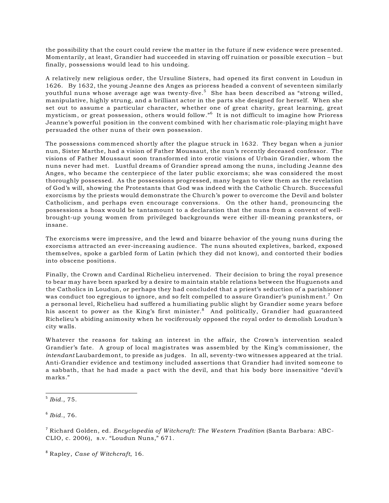the possibility that the court could review the matter in the future if new evidence were presented. Momentarily, at least, Grandier had succeeded in staving off ruination or possible execution – but finally, possessions would lead to his undoing.

A relatively new religious order, the Ursuline Sisters, had opened its first convent in Loudun in 1626. By 1632, the young Jeanne des Anges as prioress headed a convent of seventeen similarly youthful nuns whose average age was twenty-five.<sup>5</sup> She has been described as "strong willed, manipulative, highly strung, and a brilliant actor in the parts she designed for herself. When she set out to assume a particular character, whether one of great charity, great learning, great mysticism, or great possession, others would follow."<sup>6</sup> It is not difficult to imagine how Prioress Jeanne's powerful position in the convent combined with her charismatic role-playing might have persuaded the other nuns of their own possession.

The possessions commenced shortly after the plague struck in 1632. They began when a junior nun, Sister Marthe, had a vision of Father Moussaut, the nun's recently deceased confessor. The visions of Father Moussaut soon transformed into erotic visions of Urbain Grandier, whom the nuns never had met. Lustful dreams of Grandier spread among the nuns, including Jeanne des Anges, who became the centerpiece of the later public exorcisms; she was considered the most thoroughly possessed. As the possessions progressed, many began to view them as the revelation of God's will, showing the Protestants that God was indeed with the Catholic Church. Successful exorcisms by the priests would demonstrate the Church's power to overcome the Devil and bolster Catholicism, and perhaps even encourage conversions. On the other hand, pronouncing the possessions a hoax would be tantamount to a declaration that the nuns from a convent of wellbrought-up young women from privileged backgrounds were either ill-meaning pranksters, or insane.

The exorcisms were impressive, and the lewd and bizarre behavior of the young nuns during the exorcisms attracted an ever-increasing audience. The nuns shouted expletives, barked, exposed themselves, spoke a garbled form of Latin (which they did not know), and contorted their bodies into obscene positions.

Finally, the Crown and Cardinal Richelieu intervened. Their decision to bring the royal presence to bear may have been sparked by a desire to maintain stable relations between the Huguenots and the Catholics in Loudun, or perhaps they had concluded that a priest's seduction of a parishioner was conduct too egregious to ignore, and so felt compelled to assure Grandier's punishment.<sup>7</sup> On a personal level, Richelieu had suffered a humiliating public slight by Grandier some years before his ascent to power as the King's first minister.<sup>8</sup> And politically, Grandier had guaranteed Richelieu's abiding animosity when he vociferously opposed the royal order to demolish Loudun's city walls.

Whatever the reasons for taking an interest in the affair, the Crown's intervention sealed Grandier's fate. A group of local magistrates was assembled by the King's commissioner, the *intendant* Laubardemont, to preside as judges. In all, seventy-two witnesses appeared at the trial. Anti-Grandier evidence and testimony included assertions that Grandier had invited someone to a sabbath, that he had made a pact with the devil, and that his body bore insensitive "devil's marks."

Rapley, *Case of Witchcraft*, 16. <sup>8</sup>

 $<sup>5</sup>$  *Ibid.*, 75.</sup>

 $6$  *Ibid.*, 76.

<sup>&</sup>lt;sup>7</sup> Richard Golden, ed. *Encyclopedia of Witchcraft: The Western Tradition (Santa Barbara: ABC-*CLIO, c. 2006), s.v. "Loudun Nuns," 671.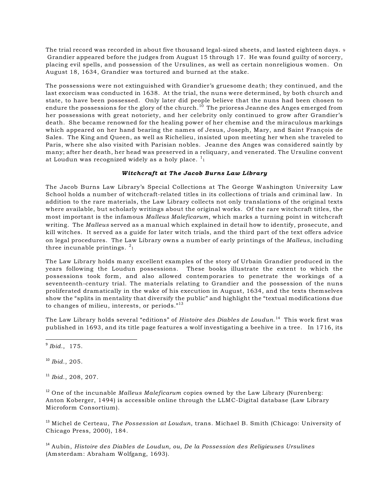The trial record was recorded in about five thousand legal-sized sheets, and lasted eighteen days. <sup>9</sup> Grandier appeared before the judges from August 15 through 17. He was found guilty of sorcery, placing evil spells, and possession of the Ursulines, as well as certain nonreligious women. On August 18, 1634, Grandier was tortured and burned at the stake.

The possessions were not extinguished with Grandier's gruesome death; they continued, and the last exorcism was conducted in 1638. At the trial, the nuns were determined, by both church and state, to have been possessed. Only later did people believe that the nuns had been chosen to endure the possessions for the glory of the church.<sup>10</sup> The prioress Jeanne des Anges emerged from her possessions with great notoriety, and her celebrity only continued to grow after Grandier's death. She became renowned for the healing power of her chemise and the miraculous markings which appeared on her hand bearing the names of Jesus, Joseph, Mary, and Saint François de Sales. The King and Queen, as well as Richelieu, insisted upon meeting her when she traveled to Paris, where she also visited with Parisian nobles. Jeanne des Anges was considered saintly by many; after her death, her head was preserved in a reliquary, and venerated. The Ursuline convent at Loudun was recognized widely as a holy place.  $^{\mathrm{1}}{}_{\mathrm{1}}$ 

### *Witchcraft at The Jacob Burns Law Library*

The Jacob Burns Law Library's Special Collections at The George Washington University Law School holds a number of witchcraft-related titles in its collections of trials and criminal law. In addition to the rare materials, the Law Library collects not only translations of the original texts where available, but scholarly writings about the original works. Of the rare witchcraft titles, the most important is the infamous *Malleus Maleficarum*, which marks a turning point in witchcraft writing. The *Malleus* served as a manual which explained in detail how to identify, prosecute, and kill witches. It served as a guide for later witch trials, and the third part of the text offers advice on legal procedures. The Law Library owns a number of early printings of the *Malleus*, including three incunable printings.  $2_1$ 

The Law Library holds many excellent examples of the story of Urbain Grandier produced in the years following the Loudun possessions. These books illustrate the extent to which the possessions took form, and also allowed contemporaries to penetrate the workings of a seventeenth-century trial. The materials relating to Grandier and the possession of the nuns proliferated dramatically in the wake of his execution in August, 1634, and the texts themselves show the "splits in mentality that diversify the public" and highlight the "textual modifications due to changes of milieu, interests, or periods. $"^{13}$ 

The Law Library holds several "editions" of *Histoire des Diables de Loudun*.<sup>14</sup> This work first was published in 1693, and its title page features a wolf investigating a beehive in a tree. In 1716, its

 $<sup>9</sup>$  *Ibid.*, 175.</sup>

<sup>10</sup> *Ibid.*, 205.

<sup>11</sup> Ibid., 208, 207.

<sup>12</sup> One of the incunable *Malleus Maleficarum* copies owned by the Law Library (Nurenberg: Anton Koberger, 1494) is accessible online through the LLMC-Digital database (Law Library Microform Consortium).

<sup>13</sup> Michel de Certeau, *The Possession at Loudun*, trans. Michael B. Smith (Chicago: University of Chicago Press, 2000), 184.

<sup>14</sup> Aubin, *Histoire des Diables de Loudun, ou, De la Possession des Religieuses Ursulines* (Amsterdam: Abraham Wolfgang, 1693).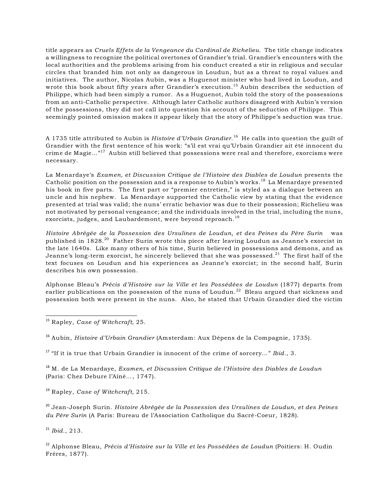title appears as *Cruels Effets de la Vengeance du Cardinal de Richelieu*. The title change indicates a willingness to recognize the political overtones of Grandier's trial. Grandier's encounters with the local authorities and the problems arising from his conduct created a stir in religious and secular circles that branded him not only as dangerous in Loudun, but as a threat to royal values and initiatives. The author, Nicolas Aubin, was a Huguenot minister who had lived in Loudun, and wrote this book about fifty years after Grandier's execution.<sup>15</sup> Aubin describes the seduction of Philippe, which had been simply a rumor. As a Huguenot, Aubin told the story of the possessions from an anti-Catholic perspective. Although later Catholic authors disagreed with Aubin's version of the possessions, they did not call into question his account of the seduction of Philippe. This seemingly pointed omission makes it appear likely that the story of Philippe's seduction was true.

A 1735 title attributed to Aubin is *Histoire d'Urbain Grandier*. He calls into question the guilt of <sup>16</sup> Grandier with the first sentence of his work: "s'il est vrai qu'Urbain Grandier ait été innocent du crime de Magie..."<sup>17</sup> Aubin still believed that possessions were real and therefore, exorcisms were necessary.

La Menardaye's *Examen, et Discussion Critique de l'Histoire des Diables de Loudun* presents the Catholic position on the possession and is a response to Aubin's works.<sup>18</sup> La Menardaye presented his book in five parts. The first part or "premier entretien," is styled as a dialogue between an uncle and his nephew. La Menardaye supported the Catholic view by stating that the evidence presented at trial was valid; the nuns' erratic behavior was due to their possession; Richelieu was not motivated by personal vengeance; and the individuals involved in the trial, including the nuns, exorcists, judges, and Laubardemont, were beyond reproach.<sup>19</sup>

*Histoire Abrégée de la Possession des Ursulines de Loudun, et des Peines du Père Surin* was published in  $1828$ .<sup>20</sup> Father Surin wrote this piece after leaving Loudun as Jeanne's exorcist in the late 1640s. Like many others of his time, Surin believed in possessions and demons, and as Jeanne's long-term exorcist, he sincerely believed that she was possessed.<sup>21</sup> The first half of the text focuses on Loudun and his experiences as Jeanne's exorcist; in the second half, Surin describes his own possession.

Alphonse Bleau's *Précis d'Histoire sur la Ville et les Possédées de Loudun* (1877) departs from earlier publications on the possession of the nuns of Loudun.<sup>22</sup> Bleau argued that sickness and possession both were present in the nuns. Also, he stated that Urbain Grandier died the victim

<sup>15</sup> Rapley, *Case of Witchcraft*, 25.

<sup>16</sup> Aubin, *Histoire d'Urbain Grandier* (Amsterdam: Aux Dépens de la Compagnie, 1735).

<sup>17</sup> "If it is true that Urbain Grandier is innocent of the crime of sorcery..." *Ibid.*, 3.

 M. de La Menardaye, *Examen, et Discussion Critique de l'Histoire des Diables de Loudun* <sup>18</sup> (Paris: Chez Debure l'Aîné…, 1747).

<sup>19</sup> Rapley, *Case of Witchcraft*, 215.

 Jean-Joseph Surin. *Histoire Abrégée de la Possession des Ursulines de Loudun, et des Peines* <sup>20</sup> *du Père Surin* (A Paris: Bureau de l'Association Catholique du Sacré-Coeur, 1828).

<sup>21</sup> *Ibid.*, 213.

<sup>22</sup> Alphonse Bleau, *Précis d'Histoire sur la Ville et les Possédées de Loudun (Poitiers: H. Oudin* Frères, 1877).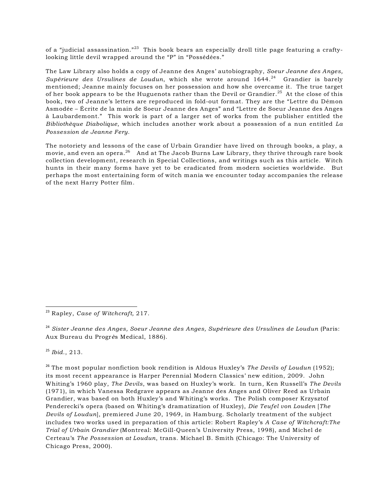of a "judicial assassination."<sup>23</sup> This book bears an especially droll title page featuring a craftylooking little devil wrapped around the "P" in "Possédées."

The Law Library also holds a copy of Jeanne des Anges' autobiography, *Soeur Jeanne des Anges, Supérieure des Ursulines de Loudun*, which she wrote around 1644.<sup>24</sup> Grandier is barely mentioned; Jeanne mainly focuses on her possession and how she overcame it. The true target of her book appears to be the Huguenots rather than the Devil or Grandier.<sup>25</sup> At the close of this book, two of Jeanne's letters are reproduced in fold-out format. They are the "Lettre du Démon Asmodée – Écrite de la main de Soeur Jeanne des Anges" and "Lettre de Soeur Jeanne des Anges à Laubardemont." This work is part of a larger set of works from the publisher entitled the *Bibliothèque Diabolique*, which includes another work about a possession of a nun entitled *La Possession de Jeanne Fery*.

The notoriety and lessons of the case of Urbain Grandier have lived on through books, a play, a movie, and even an opera. $^{26}$  And at The Jacob Burns Law Library, they thrive through rare book collection development, research in Special Collections, and writings such as this article. Witch hunts in their many forms have yet to be eradicated from modern societies worldwide. But perhaps the most entertaining form of witch mania we encounter today accompanies the release of the next Harry Potter film.

 $^{25}$  *Ibid.*, 213.

<sup>26</sup> The most popular nonfiction book rendition is Aldous Huxley's *The Devils of Loudun* (1952); its most recent appearance is Harper Perennial Modern Classics' new edition, 2009. John Whiting's 1960 play, *The Devils*, was based on Huxley's work. In turn, Ken Russell's *The Devils* (1971), in which Vanessa Redgrave appears as Jeanne des Anges and Oliver Reed as Urbain Grandier, was based on both Huxley's and Whiting's works. The Polish composer Krzysztof Penderecki's opera (based on Whiting's dramatization of Huxley), *Die Teufel von Louden* [*The Devils of Loudun*], premiered June 20, 1969, in Hamburg. Scholarly treatment of the subject includes two works used in preparation of this article: Robert Rapley's *A Case of Witchcraft:The Trial of Urbain Grandier* (Montreal: McGill-Queen's University Press, 1998), and Michel de Certeau's *The Possession at Loudun*, trans. Michael B. Smith (Chicago: The University of Chicago Press, 2000).

<sup>&</sup>lt;sup>23</sup> Rapley, *Case of Witchcraft*, 217.

*Sister Jeanne des Anges, Soeur Jeanne des Anges, Supérieure des Ursulines de Loudun* (Paris: <sup>24</sup> Aux Bureau du Progr*è*s Medical, 1886).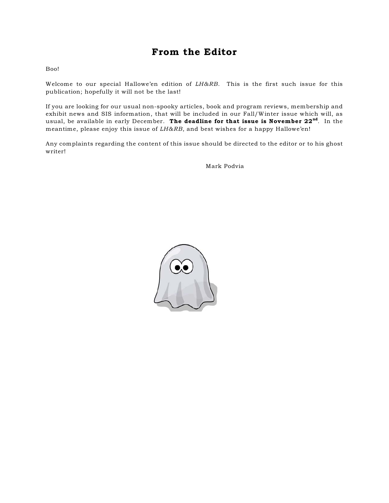### From the Editor

Boo!

Welcome to our special Hallowe'en edition of *LH&RB*. This is the first such issue for this publication; hopefully it will not be the last!

If you are looking for our usual non-spooky articles, book and program reviews, membership and exhibit news and SIS information, that will be included in our Fall/Winter issue which will, as usual, be available in early December. The deadline for that issue is November 22<sup>nd</sup>. In the meantime, please enjoy this issue of *LH&RB*, and best wishes for a happy Hallowe'en!

Any complaints regarding the content of this issue should be directed to the editor or to his ghost writer!

Mark Podvia

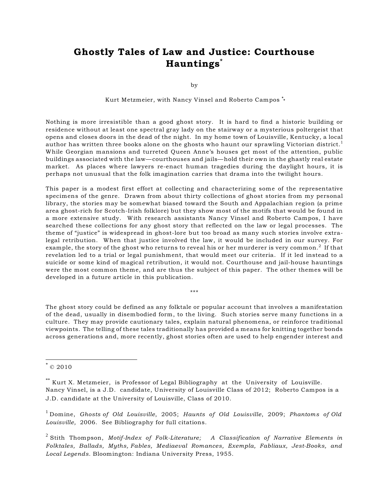## Ghostly Tales of Law and Justice: Courthouse Hauntings<sup>\*</sup>

by

Kurt Metzmeier, with Nancy Vinsel and Roberto Campos \* \*

Nothing is more irresistible than a good ghost story. It is hard to find a historic building or residence without at least one spectral gray lady on the stairway or a mysterious poltergeist that opens and closes doors in the dead of the night. In my home town of Louisville, Kentucky, a local author has written three books alone on the ghosts who haunt our sprawling Victorian district.<sup>1</sup> While Georgian mansions and turreted Queen Anne's houses get most of the attention, public buildings associated with the law—courthouses and jails—hold their own in the ghastly real estate market. As places where lawyers re-enact human tragedies during the daylight hours, it is perhaps not unusual that the folk imagination carries that drama into the twilight hours.

This paper is a modest first effort at collecting and characterizing some of the representative specimens of the genre. Drawn from about thirty collections of ghost stories from my personal library, the stories may be somewhat biased toward the South and Appalachian region (a prime area ghost-rich for Scotch-Irish folklore) but they show most of the motifs that would be found in a more extensive study. With research assistants Nancy Vinsel and Roberto Campos, I have searched these collections for any ghost story that reflected on the law or legal processes. The theme of "justice" is widespread in ghost-lore but too broad as many such stories involve extralegal retribution. When that justice involved the law, it would be included in our survey. For example, the story of the ghost who returns to reveal his or her murderer is very common.<sup>2</sup> If that revelation led to a trial or legal punishment, that would meet our criteria. If it led instead to a suicide or some kind of magical retribution, it would not. Courthouse and jail-house hauntings were the most common theme, and are thus the subject of this paper. The other themes will be developed in a future article in this publication.

\*\*\*

The ghost story could be defined as any folktale or popular account that involves a manifestation of the dead, usually in disembodied form, to the living. Such stories serve many functions in a culture. They may provide cautionary tales, explain natural phenomena, or reinforce traditional viewpoints. The telling of these tales traditionally has provided a means for knitting together bonds across generations and, more recently, ghost stories often are used to help engender interest and

 $^*$ © 2010

 $*$  Kurt X. Metzmeier, is Professor of Legal Bibliography at the University of Louisville. Nancy Vinsel, is a J.D. candidate, University of Louisville Class of 2012; Roberto Campos is a J.D. candidate at the University of Louisville, Class of 2010.

Domine, *Ghosts of Old Louisville*, 2005; *Haunts of Old Louisville*, 2009; *Phantoms of Old* <sup>1</sup> *Louisville,* 2006. See Bibliography for full citations.

<sup>&</sup>lt;sup>2</sup> Stith Thompson, *Motif-Index of Folk-Literature;* A Classification of Narrative Elements in *Folktales, Ballads, Myths, Fables, Mediaeval Romances, Exempla, Fabliaux, Jest-Books, and Local Legends*. Bloomington: Indiana University Press, 1955.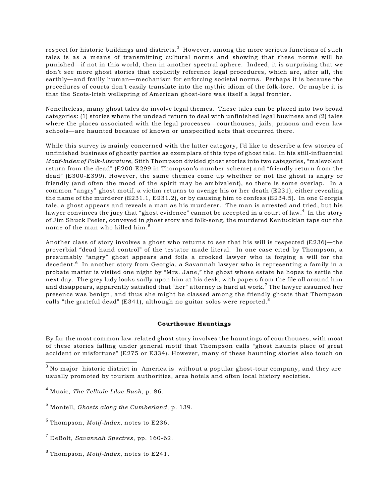respect for historic buildings and districts.<sup>3</sup> However, among the more serious functions of such tales is as a means of transmitting cultural norms and showing that these norms will be punished—if not in this world, then in another spectral sphere. Indeed, it is surprising that we don't see more ghost stories that explicitly reference legal procedures, which are, after all, the earthly—and frailly human—mechanism for enforcing societal norms. Perhaps it is because the procedures of courts don't easily translate into the mythic idiom of the folk-lore. Or maybe it is that the Scots-Irish wellspring of American ghost-lore was itself a legal frontier.

Nonetheless, many ghost tales do involve legal themes. These tales can be placed into two broad categories: (1) stories where the undead return to deal with unfinished legal business and (2) tales where the places associated with the legal processes—courthouses, jails, prisons and even law schools—are haunted because of known or unspecified acts that occurred there.

While this survey is mainly concerned with the latter category, I'd like to describe a few stories of unfinished business of ghostly parties as exemplars of this type of ghost tale. In his still-influential *Motif-Index of Folk-Literature*, Stith Thompson divided ghost stories into two categories, "malevolent return from the dead" (E200-E299 in Thompson's number scheme) and "friendly return from the dead" (E300-E399). However, the same themes come up whether or not the ghost is angry or friendly (and often the mood of the spirit may be ambivalent), so there is some overlap. In a common "angry" ghost motif, a victim returns to avenge his or her death (E231), either revealing the name of the murderer (E231.1, E231.2), or by causing him to confess (E234.5). In one Georgia tale, a ghost appears and reveals a man as his murderer. The man is arrested and tried, but his lawyer convinces the jury that "ghost evidence" cannot be accepted in a court of law. $4\,$  In the story of Jim Shuck Peeler, conveyed in ghost story and folk-song, the murdered Kentuckian taps out the name of the man who killed him.<sup>5</sup>

Another class of story involves a ghost who returns to see that his will is respected (E236)—the proverbial "dead hand control" of the testator made literal. In one case cited by Thompson, a presumably "angry" ghost appears and foils a crooked lawyer who is forging a will for the decedent.<sup>6</sup> In another story from Georgia, a Savannah lawyer who is representing a family in a probate matter is visited one night by "Mrs. Jane," the ghost whose estate he hopes to settle the next day. The grey lady looks sadly upon him at his desk, with papers from the file all around him and disappears, apparently satisfied that "her" attorney is hard at work.<sup>7</sup> The lawyer assumed her presence was benign, and thus she might be classed among the friendly ghosts that Thompson calls "the grateful dead" (E341), although no guitar solos were reported.<sup>9</sup>

### Courthouse Hauntings

By far the most common law-related ghost story involves the hauntings of courthouses, with most of these stories falling under general motif that Thompson calls "ghost haunts place of great accident or misfortune" (E275 or E334). However, many of these haunting stories also touch on

 $^3$  No major historic district in America is without a popular ghost-tour company, and they are usually promoted by tourism authorities, area hotels and often local history societies.

Music, *The Telltale Lilac Bush*, p. 86. <sup>4</sup>

Montell, *Ghosts along the Cumberland*, p. 139. <sup>5</sup>

Thompson, *Motif-Index*, notes to E236. <sup>6</sup>

DeBolt, *Savannah Spectres*, pp. 160-62. <sup>7</sup>

 $^8$  Thompson, *Motif-Index*, notes to E241.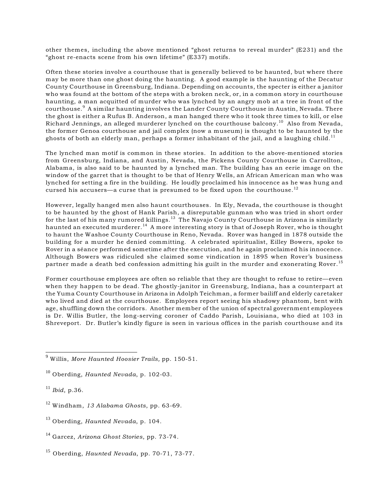other themes, including the above mentioned "ghost returns to reveal murder" (E231) and the "ghost re-enacts scene from his own lifetime" (E337) motifs.

Often these stories involve a courthouse that is generally believed to be haunted, but where there may be more than one ghost doing the haunting. A good example is the haunting of the Decatur County Courthouse in Greensburg, Indiana. Depending on accounts, the specter is either a janitor who was found at the bottom of the steps with a broken neck, or, in a common story in courthouse haunting, a man acquitted of murder who was lynched by an angry mob at a tree in front of the courthouse.<sup>9</sup> A similar haunting involves the Lander County Courthouse in Austin, Nevada. There the ghost is either a Rufus B. Anderson, a man hanged there who it took three times to kill, or else Richard Jennings, an alleged murderer lynched on the courthouse balcony.<sup>10</sup> Also from Nevada, the former Genoa courthouse and jail complex (now a museum) is thought to be haunted by the ghosts of both an elderly man, perhaps a former inhabitant of the jail, and a laughing child.<sup>11</sup>

The lynched man motif is common in these stories. In addition to the above-mentioned stories from Greensburg, Indiana, and Austin, Nevada, the Pickens County Courthouse in Carrollton, Alabama, is also said to be haunted by a lynched man. The building has an eerie image on the window of the garret that is thought to be that of Henry Wells, an African American man who was lynched for setting a fire in the building. He loudly proclaimed his innocence as he was hung and cursed his accusers—a curse that is presumed to be fixed upon the courthouse.<sup>12</sup>

However, legally hanged men also haunt courthouses. In Ely, Nevada, the courthouse is thought to be haunted by the ghost of Hank Parish, a disreputable gunman who was tried in short order for the last of his many rumored killings.<sup>13</sup> The Navajo County Courthouse in Arizona is similarly haunted an executed murderer.<sup>14</sup> A more interesting story is that of Joseph Rover, who is thought to haunt the Washoe County Courthouse in Reno, Nevada. Rover was hanged in 1878 outside the building for a murder he denied committing. A celebrated spiritualist, Eilley Bowers, spoke to Rover in a séance performed sometime after the execution, and he again proclaimed his innocence. Although Bowers was ridiculed she claimed some vindication in 1895 when Rover's business partner made a death bed confession admitting his guilt in the murder and exonerating Rover.<sup>15</sup>

Former courthouse employees are often so reliable that they are thought to refuse to retire—even when they happen to be dead. The ghostly-janitor in Greensburg, Indiana, has a counterpart at the Yuma County Courthouse in Arizona in Adolph Teichman, a former bailiff and elderly caretaker who lived and died at the courthouse. Employees report seeing his shadowy phantom, bent with age, shuffling down the corridors. Another member of the union of spectral government employees is Dr. Willis Butler, the long-serving coroner of Caddo Parish, Louisiana, who died at 103 in Shreveport. Dr. Butler's kindly figure is seen in various offices in the parish courthouse and its

- <sup>12</sup> Windham, 13 Alabama Ghosts, pp. 63-69.
- <sup>13</sup> Oberding, *Haunted Nevada*, p. 104.

<sup>15</sup> Oberding, *Haunted Nevada*, pp. 70-71, 73-77.

<sup>&</sup>lt;sup>9</sup> Willis, *More Haunted Hoosier Trails*, pp. 150-51.

<sup>&</sup>lt;sup>10</sup> Oberding, *Haunted Nevada*, p. 102-03.

 $^{11}$  *Ibid*, p.36.

<sup>&</sup>lt;sup>14</sup> Garcez, Arizona Ghost Stories, pp. 73-74.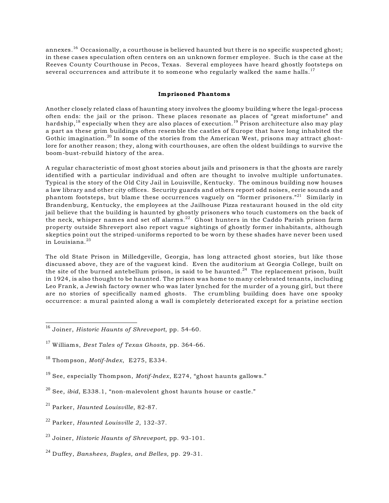annexes.<sup>16</sup> Occasionally, a courthouse is believed haunted but there is no specific suspected ghost; in these cases speculation often centers on an unknown former employee. Such is the case at the Reeves County Courthouse in Pecos, Texas. Several employees have heard ghostly footsteps on several occurrences and attribute it to someone who regularly walked the same halls.<sup>17</sup>

#### Imprisoned Phantoms

Another closely related class of haunting story involves the gloomy building where the legal-process often ends: the jail or the prison. These places resonate as places of "great misfortune" and hardship,<sup>18</sup> especially when they are also places of execution.<sup>19</sup> Prison architecture also may play a part as these grim buildings often resemble the castles of Europe that have long inhabited the Gothic imagination.<sup>20</sup> In some of the stories from the American West, prisons may attract ghostlore for another reason; they, along with courthouses, are often the oldest buildings to survive the boom-bust-rebuild history of the area.

A regular characteristic of most ghost stories about jails and prisoners is that the ghosts are rarely identified with a particular individual and often are thought to involve multiple unfortunates. Typical is the story of the Old City Jail in Louisville, Kentucky. The ominous building now houses a law library and other city offices. Security guards and others report odd noises, eerie sounds and phantom footsteps, but blame these occurrences vaguely on "former prisoners."<sup>21</sup> Similarly in Brandenburg, Kentucky, the employees at the Jailhouse Pizza restaurant housed in the old city jail believe that the building is haunted by ghostly prisoners who touch customers on the back of the neck, whisper names and set off alarms. $^\mathrm{22}$  Ghost hunters in the Caddo Parish prison farm property outside Shreveport also report vague sightings of ghostly former inhabitants, although skeptics point out the striped-uniforms reported to be worn by these shades have never been used in Louisiana.<sup>23</sup>

The old State Prison in Milledgeville, Georgia, has long attracted ghost stories, but like those discussed above, they are of the vaguest kind. Even the auditorium at Georgia College, built on the site of the burned antebellum prison, is said to be haunted.<sup>24</sup> The replacement prison, built in 1924, is also thought to be haunted. The prison was home to many celebrated tenants, including Leo Frank, a Jewish factory owner who was later lynched for the murder of a young girl, but there are no stories of specifically named ghosts. The crumbling building does have one spooky occurrence: a mural painted along a wall is completely deteriorated except for a pristine section

<sup>&</sup>lt;sup>16</sup> Joiner, *Historic Haunts of Shreveport*, pp. 54-60.

Williams, *Best Tales of Texas Ghosts*, pp. 364-66. <sup>17</sup>

 $18$  Thompson, *Motif-Index*, E275, E334.

<sup>&</sup>lt;sup>19</sup> See, especially Thompson, *Motif-Index*, E274, "ghost haunts gallows."

<sup>&</sup>lt;sup>20</sup> See, *ibid*, E338.1, "non-malevolent ghost haunts house or castle."

<sup>&</sup>lt;sup>21</sup> Parker, *Haunted Louisville*, 82-87.

<sup>&</sup>lt;sup>22</sup> Parker, *Haunted Louisville 2*, 132-37.

<sup>&</sup>lt;sup>23</sup> Joiner, *Historic Haunts of Shreveport*, pp. 93-101.

<sup>&</sup>lt;sup>24</sup> Duffey, *Banshees*, *Bugles*, and *Belles*, pp. 29-31.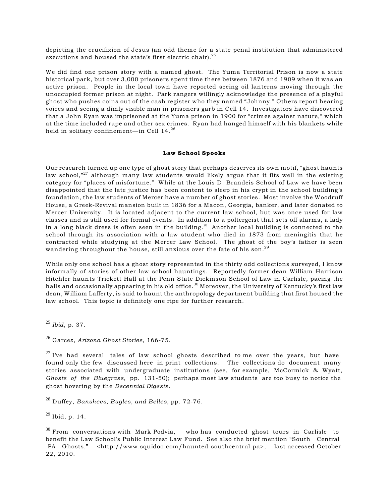depicting the crucifixion of Jesus (an odd theme for a state penal institution that administered executions and housed the state's first electric chair).<sup>25</sup>

We did find one prison story with a named ghost. The Yuma Territorial Prison is now a state historical park, but over 3,000 prisoners spent time there between 1876 and 1909 when it was an active prison. People in the local town have reported seeing oil lanterns moving through the unoccupied former prison at night. Park rangers willingly acknowledge the presence of a playful ghost who pushes coins out of the cash register who they named "Johnny." Others report hearing voices and seeing a dimly visible man in prisoners garb in Cell 14. Investigators have discovered that a John Ryan was imprisoned at the Yuma prison in 1900 for "crimes against nature," which at the time included rape and other sex crimes. Ryan had hanged himself with his blankets while held in solitary confinement—in Cell 14. <sup>26</sup>

#### Law School Spooks

Our research turned up one type of ghost story that perhaps deserves its own motif, "ghost haunts law school, $n^{27}$  although many law students would likely argue that it fits well in the existing category for "places of misfortune." While at the Louis D. Brandeis School of Law we have been disappointed that the late justice has been content to sleep in his crypt in the school building's foundation, the law students of Mercer have a number of ghost stories. Most involve the Woodruff House, a Greek-Revival mansion built in 1836 for a Macon, Georgia, banker, and later donated to Mercer University. It is located adjacent to the current law school, but was once used for law classes and is still used for formal events. In addition to a poltergeist that sets off alarms, a lady in a long black dress is often seen in the building.<sup>28</sup> Another local building is connected to the school through its association with a law student who died in 1873 from meningitis that he contracted while studying at the Mercer Law School. The ghost of the boy's father is seen wandering throughout the house, still anxious over the fate of his son.<sup>29</sup>

While only one school has a ghost story represented in the thirty odd collections surveyed, I know informally of stories of other law school hauntings. Reportedly former dean William Harrison Hitchler haunts Trickett Hall at the Penn State Dickinson School of Law in Carlisle, pacing the halls and occasionally appearing in his old office.<sup>30</sup> Moreover, the University of Kentucky's first law dean, William Lafferty, is said to haunt the anthropology department building that first housed the law school. This topic is definitely one ripe for further research.

<sup>28</sup> Duffey, *Banshees, Bugles, and Belles, pp. 72-76.* 

 $^{29}$  Ibid, p. 14.

<sup>&</sup>lt;sup>25</sup> *Ibid*, p. 37.

<sup>&</sup>lt;sup>26</sup> Garcez, Arizona Ghost Stories, 166-75.

 $27$  I've had several tales of law school ghosts described to me over the years, but have found only the few discussed here in print collections. The collections do document many stories associated with undergraduate institutions (see, for example, McCormick & Wyatt, *Ghosts of the Bluegrass*, pp. 131-50); perhaps most law students are too busy to notice the ghost hovering by the *Decennial Digests*.

 $30$  From conversations with Mark Podvia, who has conducted ghost tours in Carlisle to benefit the Law School's Public Interest Law Fund. See also the brief mention "South Central PA Ghosts," <http://www.squidoo.com/haunted-southcentral-pa>, last accessed October 22, 2010.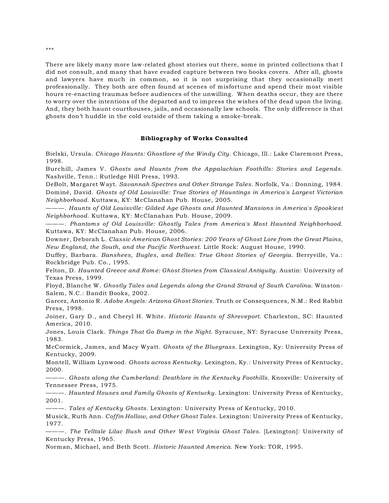There are likely many more law-related ghost stories out there, some in printed collections that I did not consult, and many that have evaded capture between two books covers. After all, ghosts and lawyers have much in common, so it is not surprising that they occasionally meet professionally. They both are often found at scenes of misfortune and spend their most visible hours re-enacting traumas before audiences of the unwilling. When deaths occur, they are there to worry over the intentions of the departed and to impress the wishes of the dead upon the living. And, they both haunt courthouses, jails, and occasionally law schools. The only difference is that ghosts don't huddle in the cold outside of them taking a smoke-break.

#### Bibliography of Works Consulted

Bielski, Ursula. *Chicago Haunts: Ghostlore of the Windy City*. Chicago, Ill.: Lake Claremont Press, 1998.

Burchill, James V. *Ghosts and Haunts from the Appalachian Foothills: Stories and Legends*. Nashville, Tenn.: Rutledge Hill Press, 1993.

DeBolt, Margaret Wayt. *Savannah Spectres and Other Strange Tales*. Norfolk, Va.: Donning, 1984. Dominé, David. *Ghosts of Old Louisville: True Stories of Hauntings in America's Largest Victorian Neighborhood*. Kuttawa, KY: McClanahan Pub. House, 2005.

———. *Haunts of Old Louisville: Gilded Age Ghosts and Haunted Mansions in America's Spookiest Neighborhood*. Kuttawa, KY: McClanahan Pub. House, 2009.

———. *Phantoms of Old Louisville: Ghostly Tales from America's Most Haunted Neighborhood*. Kuttawa, KY: McClanahan Pub. House, 2006.

Downer, Deborah L. *Classic American Ghost Stories: 200 Years of Ghost Lore from the Great Plains, New England, the South, and the Pacific Northwest*. Little Rock: August House, 1990.

Duffey, Barbara. *Banshees, Bugles, and Belles: True Ghost Stories of Georgia*. Berryville, Va.: Rockbridge Pub. Co., 1995.

Felton, D. *Haunted Greece and Rome: Ghost Stories from Classical Antiquity*. Austin: University of Texas Press, 1999.

Floyd, Blanche W. *Ghostly Tales and Legends along the Grand Strand of South Carolina*. Winston-Salem, N.C.: Bandit Books, 2002.

Garcez, Antonio R. *Adobe Angels: Arizona Ghost Stories*. Truth or Consequences, N.M.: Red Rabbit Press, 1998.

Joiner, Gary D., and Cheryl H. White. *Historic Haunts of Shreveport*. Charleston, SC: Haunted America, 2010.

Jones, Louis Clark. *Things That Go Bump in the Night*. Syracuse, NY: Syracuse University Press, 1983.

McCormick, James, and Macy Wyatt. *Ghosts of the Bluegrass.* Lexington, Ky: University Press of Kentucky, 2009.

Montell, William Lynwood. *Ghosts across Kentucky*. Lexington, Ky.: University Press of Kentucky, 2000.

———. *Ghosts along the Cumberland: Deathlore in the Kentucky Foothills*. Knoxville: University of Tennessee Press, 1975.

———. *Haunted Houses and Family Ghosts of Kentucky*. Lexington: University Press of Kentucky, 2001.

———. *Tales of Kentucky Ghosts*. Lexington: University Press of Kentucky, 2010.

Musick, Ruth Ann. *Coffin Hollow, and Other Ghost Tales*. Lexington: University Press of Kentucky, 1977.

———. *The Telltale Lilac Bush and Other West Virginia Ghost Tales*. [Lexington]: University of Kentucky Press, 1965.

Norman, Michael, and Beth Scott. *Historic Haunted America*. New York: TOR, 1995.

\*\*\*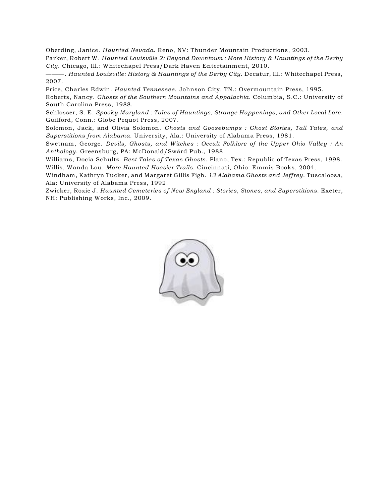Oberding, Janice. *Haunted Nevada*. Reno, NV: Thunder Mountain Productions, 2003.

Parker, Robert W. *Haunted Louisville 2: Beyond Downtown : More History & Hauntings of the Derby City*. Chicago, Ill.: Whitechapel Press/Dark Haven Entertainment, 2010.

———. *Haunted Louisville: History & Hauntings of the Derby City*. Decatur, Ill.: Whitechapel Press, 2007.

Price, Charles Edwin. *Haunted Tennessee*. Johnson City, TN.: Overmountain Press, 1995. Roberts, Nancy. *Ghosts of the Southern Mountains and Appalachia*. Columbia, S.C.: University of South Carolina Press, 1988.

Schlosser, S. E. *Spooky Maryland : Tales of Hauntings, Strange Happenings, and Other Local Lore*. Guilford, Conn.: Globe Pequot Press, 2007.

Solomon, Jack, and Olivia Solomon. *Ghosts and Goosebumps : Ghost Stories, Tall Tales, and Superstitions from Alabama*. University, Ala.: University of Alabama Press, 1981.

Swetnam, George. *Devils, Ghosts, and Witches : Occult Folklore of the Upper Ohio Valley : An Anthology*. Greensburg, PA: McDonald/Swärd Pub., 1988.

Williams, Docia Schultz. *Best Tales of Texas Ghosts*. Plano, Tex.: Republic of Texas Press, 1998. Willis, Wanda Lou. *More Haunted Hoosier Trails*. Cincinnati, Ohio: Emmis Books, 2004.

Windham, Kathryn Tucker, and Margaret Gillis Figh. *13 Alabama Ghosts and Jeffrey*. Tuscaloosa, Ala: University of Alabama Press, 1992.

Zwicker, Roxie J. *Haunted Cemeteries of New England : Stories, Stones, and Superstitions*. Exeter, NH: Publishing Works, Inc., 2009.

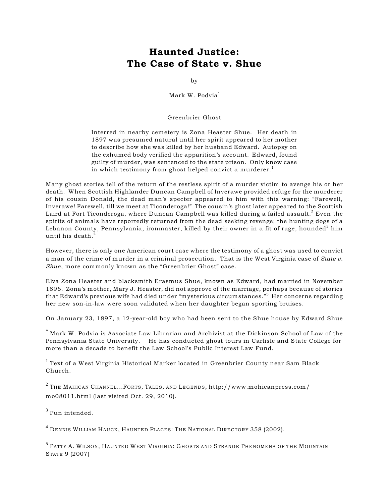### Haunted Justice: The Case of State v. Shue

by

Mark W. Podvia\*

Greenbrier Ghost

Interred in nearby cemetery is Zona Heaster Shue. Her death in 1897 was presumed natural until her spirit appeared to her mother to describe how she was killed by her husband Edward. Autopsy on the exhumed body verified the apparition's account. Edward, found guilty of murder, was sentenced to the state prison. Only know case in which testimony from ghost helped convict a murderer.<sup>1</sup>

Many ghost stories tell of the return of the restless spirit of a murder victim to avenge his or her death. When Scottish Highlander Duncan Campbell of Inverawe provided refuge for the murderer of his cousin Donald, the dead man's specter appeared to him with this warning: "Farewell, Inverawe! Farewell, till we meet at Ticonderoga!" The cousin's ghost later appeared to the Scottish Laird at Fort Ticonderoga, where Duncan Campbell was killed during a failed assault.<sup>2</sup> Even the spirits of animals have reportedly returned from the dead seeking revenge; the hunting dogs of a Lebanon County, Pennsylvania, ironmaster, killed by their owner in a fit of rage, hounded<sup>3</sup> him until his death.<sup>4</sup>

However, there is only one American court case where the testimony of a ghost was used to convict a man of the crime of murder in a criminal prosecution. That is the West Virginia case of *State v. Shue*, more commonly known as the "Greenbrier Ghost" case.

Elva Zona Heaster and blacksmith Erasmus Shue, known as Edward, had married in November 1896. Zona's mother, Mary J. Heaster, did not approve of the marriage, perhaps because of stories that Edward's previous wife had died under "mysterious circumstances."<sup>5</sup> Her concerns regarding her new son-in-law were soon validated when her daughter began sporting bruises.

On January 23, 1897, a 12-year-old boy who had been sent to the Shue house by Edward Shue

 $\sim$  Mark W. Podvia is Associate Law Librarian and Archivist at the Dickinson School of Law of the Pennsylvania State University. He has conducted ghost tours in Carlisle and State College for more than a decade to benefit the Law School's Public Interest Law Fund.

 $^{\rm 1}$  Text of a West Virginia Historical Marker located in Greenbrier County near Sam Black Church.

 $2$  THE MAHICAN CHANNEL...FORTS, TALES, AND LEGENDS, http://www.mohicanpress.com/ mo08011.html (last visited Oct. 29, 2010).

 $3$  Pun intended.

<sup>4</sup> DENNIS WILLIAM HAUCK, HAUNTED PLACES: THE NATIONAL DIRECTORY 358 (2002).

<sup>5</sup> PATTY A. WILSON, HAUNTED WEST VIRGINIA: GHOSTS AND STRANGE PHENOMENA OF THE MOUNTAIN STATE 9 (2007)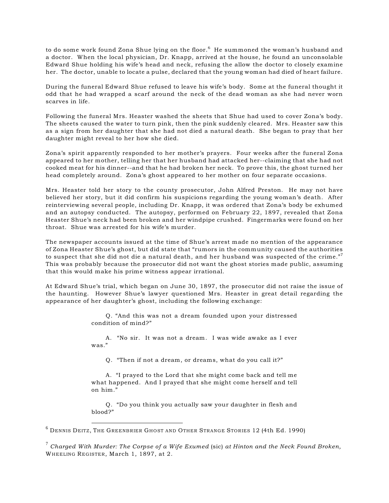to do some work found Zona Shue lying on the floor.<sup>6</sup> He summoned the woman's husband and a doctor. When the local physician, Dr. Knapp, arrived at the house, he found an unconsolable Edward Shue holding his wife's head and neck, refusing the allow the doctor to closely examine her. The doctor, unable to locate a pulse, declared that the young woman had died of heart failure.

During the funeral Edward Shue refused to leave his wife's body. Some at the funeral thought it odd that he had wrapped a scarf around the neck of the dead woman as she had never worn scarves in life.

Following the funeral Mrs. Heaster washed the sheets that Shue had used to cover Zona's body. The sheets caused the water to turn pink, then the pink suddenly cleared. Mrs. Heaster saw this as a sign from her daughter that she had not died a natural death. She began to pray that her daughter might reveal to her how she died.

Zona's spirit apparently responded to her mother's prayers. Four weeks after the funeral Zona appeared to her mother, telling her that her husband had attacked her--claiming that she had not cooked meat for his dinner--and that he had broken her neck. To prove this, the ghost turned her head completely around. Zona's ghost appeared to her mother on four separate occasions.

Mrs. Heaster told her story to the county prosecutor, John Alfred Preston. He may not have believed her story, but it did confirm his suspicions regarding the young woman's death. After reinterviewing several people, including Dr. Knapp, it was ordered that Zona's body be exhumed and an autopsy conducted. The autopsy, performed on February 22, 1897, revealed that Zona Heaster Shue's neck had been broken and her windpipe crushed. Fingermarks were found on her throat. Shue was arrested for his wife's murder.

The newspaper accounts issued at the time of Shue's arrest made no mention of the appearance of Zona Heaster Shue's ghost, but did state that "rumors in the community caused the authorities to suspect that she did not die a natural death, and her husband was suspected of the crime. $\bar{r}$ This was probably because the prosecutor did not want the ghost stories made public, assuming that this would make his prime witness appear irrational.

At Edward Shue's trial, which began on June 30, 1897, the prosecutor did not raise the issue of the haunting. However Shue's lawyer questioned Mrs. Heaster in great detail regarding the appearance of her daughter's ghost, including the following exchange:

> Q. "And this was not a dream founded upon your distressed condition of mind?"

> A. "No sir. It was not a dream. I was wide awake as I ever was."

Q. "Then if not a dream, or dreams, what do you call it?"

A. "I prayed to the Lord that she might come back and tell me what happened. And I prayed that she might come herself and tell on him."

Q. "Do you think you actually saw your daughter in flesh and blood?"

DENNIS DEITZ, THE GREENBRIER GHOST AND OTHER STRANGE STORIES 12 (4th Ed. 1990) <sup>6</sup>

<sup>&</sup>lt;sup>7</sup> Charged With Murder: The Corpse of a Wife Exumed (sic) at Hinton and the Neck Found Broken, WHEELING REGISTER, March 1, 1897, at 2.